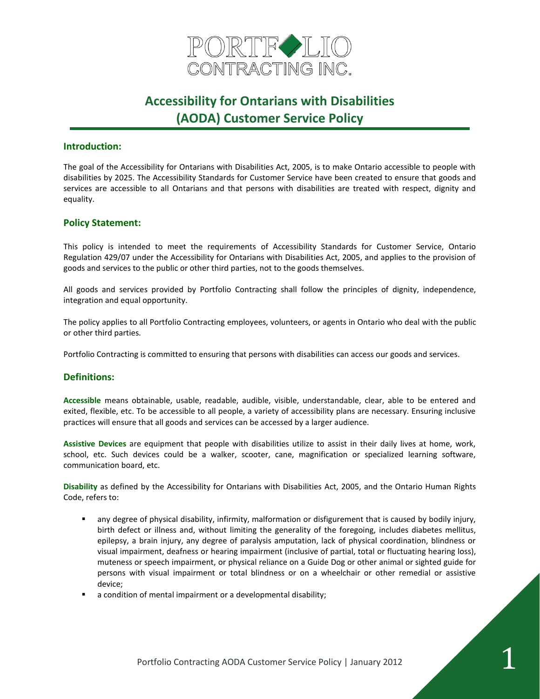

### **Introduction:**

The goal of the Accessibility for Ontarians with Disabilities Act, 2005, is to make Ontario accessible to people with disabilities by 2025. The Accessibility Standards for Customer Service have been created to ensure that goods and services are accessible to all Ontarians and that persons with disabilities are treated with respect, dignity and equality.

### **Policy Statement:**

This policy is intended to meet the requirements of Accessibility Standards for Customer Service, Ontario Regulation 429/07 under the Accessibility for Ontarians with Disabilities Act, 2005, and applies to the provision of goods and services to the public or other third parties, not to the goods themselves.

All goods and services provided by Portfolio Contracting shall follow the principles of dignity, independence, integration and equal opportunity.

The policy applies to all Portfolio Contracting employees, volunteers, or agents in Ontario who deal with the public or other third parties.

Portfolio Contracting is committed to ensuring that persons with disabilities can access our goods and services.

## **Definitions:**

**Accessible** means obtainable, usable, readable, audible, visible, understandable, clear, able to be entered and exited, flexible, etc. To be accessible to all people, a variety of accessibility plans are necessary. Ensuring inclusive practices will ensure that all goods and services can be accessed by a larger audience.

**Assistive Devices** are equipment that people with disabilities utilize to assist in their daily lives at home, work, school, etc. Such devices could be a walker, scooter, cane, magnification or specialized learning software, communication board, etc.

**Disability** as defined by the Accessibility for Ontarians with Disabilities Act, 2005, and the Ontario Human Rights Code, refers to:

- any degree of physical disability, infirmity, malformation or disfigurement that is caused by bodily injury, birth defect or illness and, without limiting the generality of the foregoing, includes diabetes mellitus, epilepsy, a brain injury, any degree of paralysis amputation, lack of physical coordination, blindness or visual impairment, deafness or hearing impairment (inclusive of partial, total or fluctuating hearing loss), muteness or speech impairment, or physical reliance on a Guide Dog or other animal or sighted guide for persons with visual impairment or total blindness or on a wheelchair or other remedial or assistive device;
- a condition of mental impairment or a developmental disability;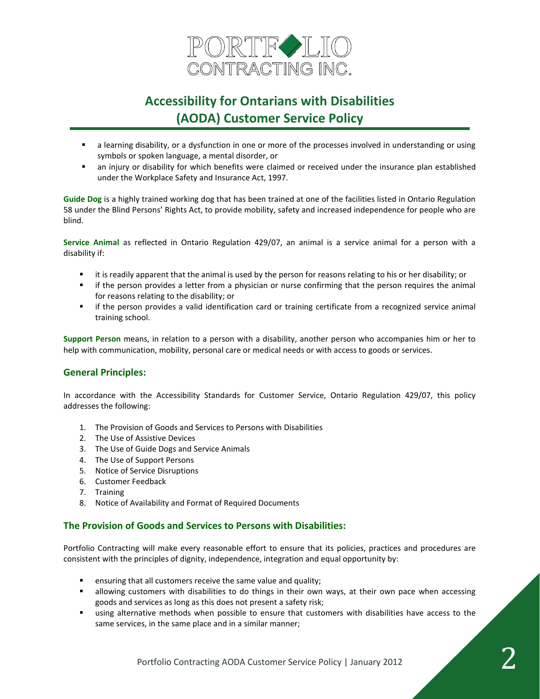

- a learning disability, or a dysfunction in one or more of the processes involved in understanding or using symbols or spoken language, a mental disorder, or
- an injury or disability for which benefits were claimed or received under the insurance plan established under the Workplace Safety and Insurance Act, 1997.

**Guide Dog** is a highly trained working dog that has been trained at one of the facilities listed in Ontario Regulation 58 under the Blind Persons' Rights Act, to provide mobility, safety and increased independence for people who are blind.

**Service Animal** as reflected in Ontario Regulation 429/07, an animal is a service animal for a person with a disability if:

- it is readily apparent that the animal is used by the person for reasons relating to his or her disability; or
- **■** if the person provides a letter from a physician or nurse confirming that the person requires the animal for reasons relating to the disability; or
- if the person provides a valid identification card or training certificate from a recognized service animal training school.

**Support Person** means, in relation to a person with a disability, another person who accompanies him or her to help with communication, mobility, personal care or medical needs or with access to goods or services.

## **General Principles:**

In accordance with the Accessibility Standards for Customer Service, Ontario Regulation 429/07, this policy addresses the following:

- 1. The Provision of Goods and Services to Persons with Disabilities
- 2. The Use of Assistive Devices
- 3. The Use of Guide Dogs and Service Animals
- 4. The Use of Support Persons
- 5. Notice of Service Disruptions
- 6. Customer Feedback
- 7. Training
- 8. Notice of Availability and Format of Required Documents

#### **The Provision of Goods and Services to Persons with Disabilities:**

Portfolio Contracting will make every reasonable effort to ensure that its policies, practices and procedures are consistent with the principles of dignity, independence, integration and equal opportunity by:

- ensuring that all customers receive the same value and quality;
- **■** allowing customers with disabilities to do things in their own ways, at their own pace when accessing goods and services as long as this does not present a safety risk;
- using alternative methods when possible to ensure that customers with disabilities have access to the same services, in the same place and in a similar manner;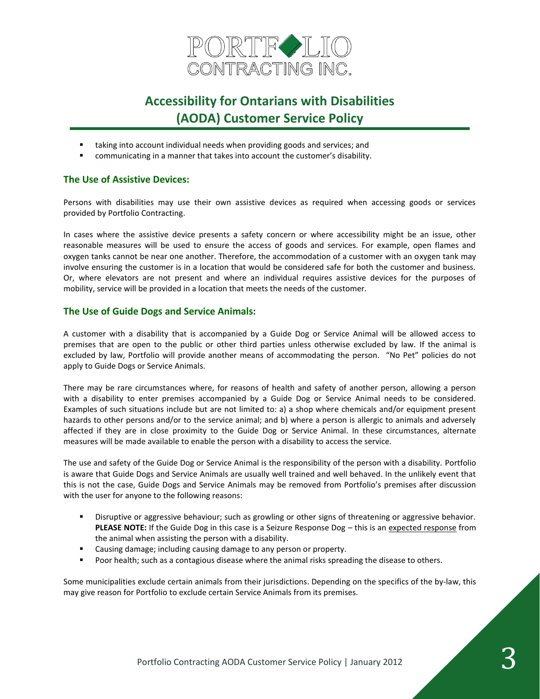

- taking into account individual needs when providing goods and services; and
- communicating in a manner that takes into account the customer's disability.

## **The Use of Assistive Devices:**

Persons with disabilities may use their own assistive devices as required when accessing goods or services provided by Portfolio Contracting.

In cases where the assistive device presents a safety concern or where accessibility might be an issue, other reasonable measures will be used to ensure the access of goods and services. For example, open flames and oxygen tanks cannot be near one another. Therefore, the accommodation of a customer with an oxygen tank may involve ensuring the customer is in a location that would be considered safe for both the customer and business. Or, where elevators are not present and where an individual requires assistive devices for the purposes of mobility, service will be provided in a location that meets the needs of the customer.

### **The Use of Guide Dogs and Service Animals:**

A customer with a disability that is accompanied by a Guide Dog or Service Animal will be allowed access to premises that are open to the public or other third parties unless otherwise excluded by law. If the animal is excluded by law, Portfolio will provide another means of accommodating the person. "No Pet" policies do not apply to Guide Dogs or Service Animals.

There may be rare circumstances where, for reasons of health and safety of another person, allowing a person with a disability to enter premises accompanied by a Guide Dog or Service Animal needs to be considered. Examples of such situations include but are not limited to: a) a shop where chemicals and/or equipment present hazards to other persons and/or to the service animal; and b) where a person is allergic to animals and adversely affected if they are in close proximity to the Guide Dog or Service Animal. In these circumstances, alternate measures will be made available to enable the person with a disability to access the service.

The use and safety of the Guide Dog or Service Animal is the responsibility of the person with a disability. Portfolio is aware that Guide Dogs and Service Animals are usually well trained and well behaved. In the unlikely event that this is not the case, Guide Dogs and Service Animals may be removed from Portfolio's premises after discussion with the user for anyone to the following reasons:

- Disruptive or aggressive behaviour; such as growling or other signs of threatening or aggressive behavior. **PLEASE NOTE:** If the Guide Dog in this case is a Seizure Response Dog - this is an expected response from the animal when assisting the person with a disability.
- Causing damage; including causing damage to any person or property.
- Poor health; such as a contagious disease where the animal risks spreading the disease to others.

Some municipalities exclude certain animals from their jurisdictions. Depending on the specifics of the by-law, this may give reason for Portfolio to exclude certain Service Animals from its premises.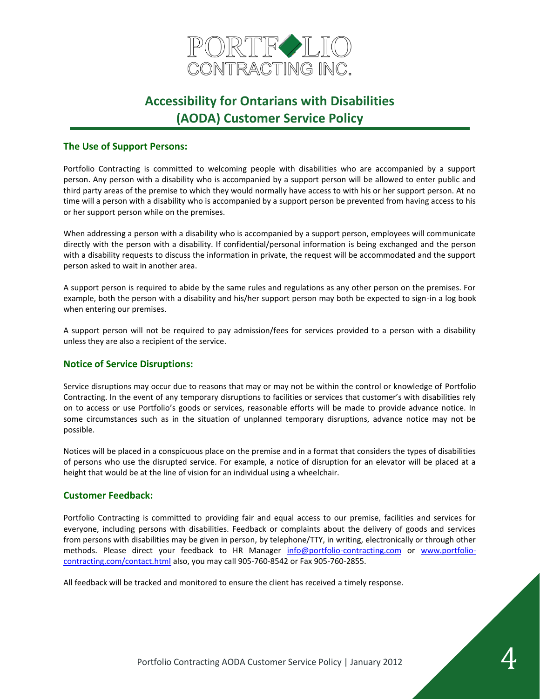

## **The Use of Support Persons:**

Portfolio Contracting is committed to welcoming people with disabilities who are accompanied by a support person. Any person with a disability who is accompanied by a support person will be allowed to enter public and third party areas of the premise to which they would normally have access to with his or her support person. At no time will a person with a disability who is accompanied by a support person be prevented from having access to his or her support person while on the premises.

When addressing a person with a disability who is accompanied by a support person, employees will communicate directly with the person with a disability. If confidential/personal information is being exchanged and the person with a disability requests to discuss the information in private, the request will be accommodated and the support person asked to wait in another area.

A support person is required to abide by the same rules and regulations as any other person on the premises. For example, both the person with a disability and his/her support person may both be expected to sign-in a log book when entering our premises.

A support person will not be required to pay admission/fees for services provided to a person with a disability unless they are also a recipient of the service.

## **Notice of Service Disruptions:**

Service disruptions may occur due to reasons that may or may not be within the control or knowledge of Portfolio Contracting. In the event of any temporary disruptions to facilities or services that customer's with disabilities rely on to access or use Portfolio's goods or services, reasonable efforts will be made to provide advance notice. In some circumstances such as in the situation of unplanned temporary disruptions, advance notice may not be possible.

Notices will be placed in a conspicuous place on the premise and in a format that considers the types of disabilities of persons who use the disrupted service. For example, a notice of disruption for an elevator will be placed at a height that would be at the line of vision for an individual using a wheelchair.

#### **Customer Feedback:**

Portfolio Contracting is committed to providing fair and equal access to our premise, facilities and services for everyone, including persons with disabilities. Feedback or complaints about the delivery of goods and services from persons with disabilities may be given in person, by telephone/TTY, in writing, electronically or through other methods. Please direct your feedback to HR Manager [info@portfolio-contracting.com](mailto:info@portfolio-contracting.com) or [www.portfolio](http://www.portfolio-contracting.com/contact.html)[contracting.com/contact.html](http://www.portfolio-contracting.com/contact.html) also, you may call 905-760-8542 or Fax 905-760-2855.

All feedback will be tracked and monitored to ensure the client has received a timely response.